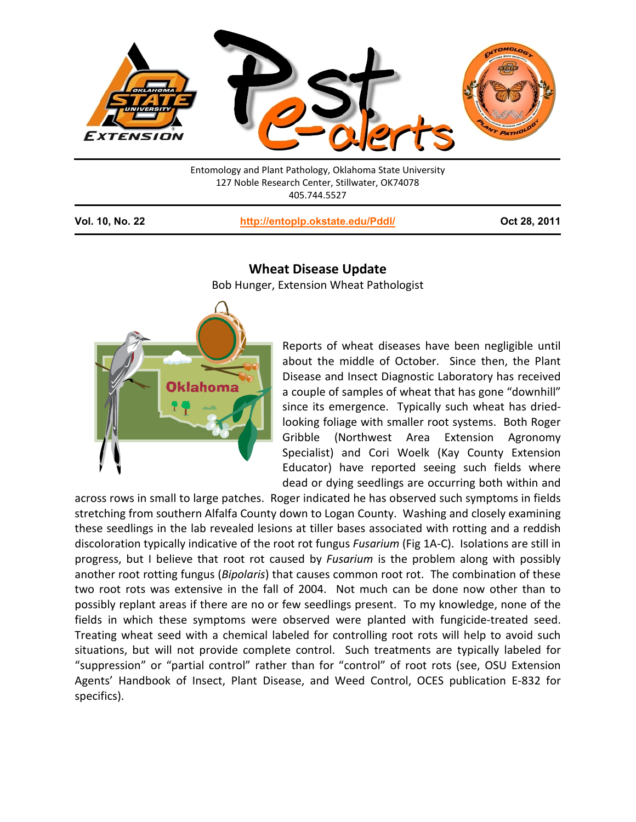

Entomology and Plant Pathology, Oklahoma State University 127 Noble Research Center, Stillwater, OK74078 405.744.5527

**Vol. 10, No. 22 <http://entoplp.okstate.edu/Pddl/> Oct 28, 2011**

## **Wheat Disease Update**

Bob Hunger, Extension Wheat Pathologist



Reports of wheat diseases have been negligible until about the middle of October. Since then, the Plant Disease and Insect Diagnostic Laboratory has received a couple of samples of wheat that has gone "downhill" since its emergence. Typically such wheat has driedlooking foliage with smaller root systems. Both Roger Gribble (Northwest Area Extension Agronomy Specialist) and Cori Woelk (Kay County Extension Educator) have reported seeing such fields where dead or dying seedlings are occurring both within and

across rows in small to large patches. Roger indicated he has observed such symptoms in fields stretching from southern Alfalfa County down to Logan County. Washing and closely examining these seedlings in the lab revealed lesions at tiller bases associated with rotting and a reddish discoloration typically indicative of the root rot fungus *Fusarium* (Fig 1A-C). Isolations are still in progress, but I believe that root rot caused by *Fusarium* is the problem along with possibly another root rotting fungus (*Bipolaris*) that causes common root rot. The combination of these two root rots was extensive in the fall of 2004. Not much can be done now other than to possibly replant areas if there are no or few seedlings present. To my knowledge, none of the fields in which these symptoms were observed were planted with fungicide-treated seed. Treating wheat seed with a chemical labeled for controlling root rots will help to avoid such situations, but will not provide complete control. Such treatments are typically labeled for "suppression" or "partial control" rather than for "control" of root rots (see, OSU Extension Agents' Handbook of Insect, Plant Disease, and Weed Control, OCES publication E-832 for specifics).